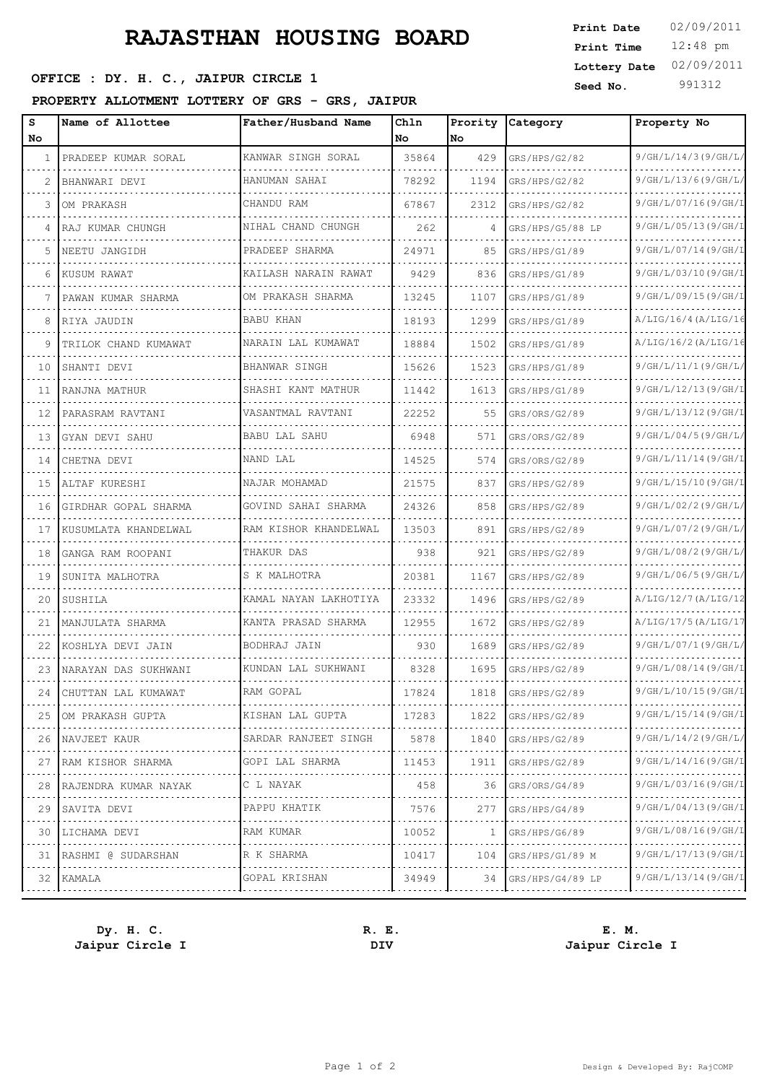# **RAJASTHAN HOUSING BOARD**

## **SEED OFFICE : DY. H. C., JAIPUR CIRCLE 1 Seed No.** 991312

#### **PROPERTY ALLOTMENT LOTTERY OF GRS - GRS, JAIPUR**

| s<br>No | Name of Allottee        | Father/Husband Name   | Chln<br>No | Prority<br>No | Category         | Property No           |
|---------|-------------------------|-----------------------|------------|---------------|------------------|-----------------------|
| 1       | PRADEEP KUMAR SORAL     | KANWAR SINGH SORAL    | 35864      | 429           | GRS/HPS/G2/82    | 9/GH/L/14/3(9/GH/L)   |
|         | BHANWARI DEVI           | HANUMAN SAHAI         | 78292      | 1194          | GRS/HPS/G2/82    | 9/GH/L/13/6 (9/GH/L)  |
| 3       | OM PRAKASH              | CHANDU RAM            | 67867      | 2312          | GRS/HPS/G2/82    | 9/GH/L/07/16(9/GH/I   |
| 4       | RAJ KUMAR CHUNGH        | NIHAL CHAND CHUNGH    | 262        | 4             | GRS/HPS/G5/88 LP | 9/GH/L/05/13(9/GH/1   |
| 5       | NEETU JANGIDH           | PRADEEP SHARMA        | 24971      | 85            | GRS/HPS/G1/89    | 9/GH/L/07/14(9/GH/I   |
| 6       | KUSUM RAWAT             | KAILASH NARAIN RAWAT  | 9429       | 836           | GRS/HPS/G1/89    | 9/GH/L/03/10(9/GH/I   |
|         | PAWAN KUMAR SHARMA      | OM PRAKASH SHARMA     | 13245      | 1107          | GRS/HPS/G1/89    | 9/GH/L/09/15(9/GH/I   |
| 8       | RIYA JAUDIN             | <b>BABU KHAN</b>      | 18193      | 1299          | GRS/HPS/G1/89    | A/LIG/16/4 (A/LIG/16) |
| 9       | TRILOK CHAND KUMAWAT    | NARAIN LAL KUMAWAT    | 18884      | 1502          | GRS/HPS/G1/89    | A/LIG/16/2 (A/LIG/1)  |
| 10      | SHANTI DEVI             | BHANWAR SINGH         | 15626      | 1523          | GRS/HPS/G1/89    | 9/GH/L/11/1(9/GH/L)   |
| 11      | RANJNA MATHUR           | SHASHI KANT MATHUR    | 11442      | 1613          | GRS/HPS/G1/89    | 9/GH/L/12/13(9/GH/I   |
| 12      | PARASRAM RAVTANI        | VASANTMAL RAVTANI     | 22252      | 55            | GRS/ORS/G2/89    | 9/GH/L/13/12(9/GH/I   |
| 13      | GYAN DEVI SAHU          | BABU LAL SAHU         | 6948       | 571           | GRS/ORS/G2/89    | 9/GH/L/04/5(9/GH/L)   |
| 14      | CHETNA DEVI             | NAND LAL              | 14525      | 574           | GRS/ORS/G2/89    | 9/GH/L/11/14(9/GH/I   |
| 15      | ALTAF KURESHI           | NAJAR MOHAMAD         | 21575      | 837           | GRS/HPS/G2/89    | 9/GH/L/15/10(9/GH/I   |
| 16      | GIRDHAR GOPAL SHARMA    | GOVIND SAHAI SHARMA   | 24326      | 858           | GRS/HPS/G2/89    | 9/GH/L/02/2(9/GH/L)   |
| 17      | KUSUMLATA KHANDELWAL    | RAM KISHOR KHANDELWAL | 13503      | 891           | GRS/HPS/G2/89    | 9/GH/L/07/2 (9/GH/L)  |
| 18      | GANGA RAM ROOPANI       | THAKUR DAS            | 938        | 921           | GRS/HPS/G2/89    | 9/GH/L/08/2 (9/GH/L)  |
| 19      | SUNITA MALHOTRA         | S K MALHOTRA          | 20381      | 1167          | GRS/HPS/G2/89    | 9/GH/L/06/5(9/GH/L    |
| 20      | SUSHILA                 | KAMAL NAYAN LAKHOTIYA | 23332      | 1496          | GRS/HPS/G2/89    | A/LIG/12/7 (A/LIG/12) |
| 21      | MANJULATA SHARMA        | KANTA PRASAD SHARMA   | 12955      | 1672          | GRS/HPS/G2/89    | A/LIG/17/5(A/LIG/1)   |
| 22      | KOSHLYA DEVI JAIN       | BODHRAJ JAIN          | 930        | 1689          | GRS/HPS/G2/89    | 9/GH/L/07/1(9/GH/L    |
| 23      | NARAYAN DAS SUKHWANI    | KUNDAN LAL SUKHWANI   | 8328       | 1695          | GRS/HPS/G2/89    | 9/GH/L/08/14(9/GH/I   |
| 24      | CHUTTAN LAL KUMAWAT     | RAM GOPAL             | 17824      | 1818          | GRS/HPS/G2/89    | 9/GH/L/10/15(9/GH/I   |
| 25      | OM PRAKASH GUPTA        | KISHAN LAL GUPTA      | 17283      | 1822          | GRS/HPS/G2/89    | 9/GH/L/15/14 (9/GH/L) |
| 26      | NAVJEET KAUR            | SARDAR RANJEET SINGH  | 5878       | 1840          | GRS/HPS/G2/89    | 9/GH/L/14/2 (9/GH/L)  |
| 27      | RAM KISHOR SHARMA       | GOPI LAL SHARMA       | 11453      | 1911          | GRS/HPS/G2/89    | 9/GH/L/14/16 (9/GH/L) |
| 28      | RAJENDRA KUMAR NAYAK    | C L NAYAK             | 458        | 36            | GRS/ORS/G4/89    | 9/GH/L/03/16(9/GH/I   |
| 29      | SAVITA DEVI             | PAPPU KHATIK          | 7576       | 277           | GRS/HPS/G4/89    | 9/GH/L/04/13(9/GH/I   |
| 30      | LICHAMA DEVI            | RAM KUMAR             | 10052      | -1            | GRS/HPS/G6/89    | 9/GH/L/08/16(9/GH/I   |
|         | 31   RASHMI @ SUDARSHAN | R K SHARMA            | 10417      | 104           | GRS/HPS/G1/89 M  | 9/GH/L/17/13(9/GH/I   |
|         | 32 KAMALA               | GOPAL KRISHAN         | 34949      | 34            | GRS/HPS/G4/89 LP | 9/GH/L/13/14(9/GH/I   |
|         |                         |                       |            |               |                  |                       |

**Jaipur Circle I DIV Jaipur Circle I**

**Dy. H. C. R. E. E. M.**